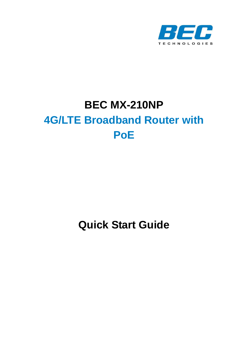

# **BEC MX-210NP 4G/LTE Broadband Router with PoE**

**Quick Start Guide**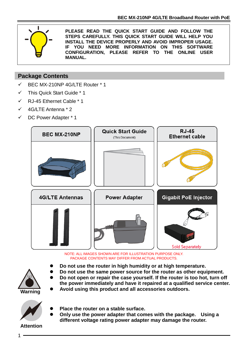

**PLEASE READ THE QUICK START GUIDE AND FOLLOW THE STEPS CAREFULLY. THIS QUICK START GUIDE WILL HELP YOU INSTALL THE DEVICE PROPERLY AND AVOID IMPROPER USAGE. IF YOU NEED MORE INFORMATION ON THIS SOFTWARE CONFIGURATION, PLEASE REFER TO THE ONLINE USER MANUAL.**

#### **Package Contents**

- BEC MX-210NP 4G/LTE Router \* 1
- ✓ This Quick Start Guide \* 1
- ✓ RJ-45 Ethernet Cable \* 1
- ✓ 4G/LTE Antenna \* 2
- ✓ DC Power Adapter \* 1



NOTE: ALL IMAGES SHOWN ARE FOR ILLUSTRATION PURPOSE ONLY. PACKAGE CONTENTS MAY DIFFER FROM ACTUAL PRODUCTS.

- ⚫ **Do not use the router in high humidity or at high temperature.**
- ⚫ **Do not use the same power source for the router as other equipment.**
- ⚫ **Do not open or repair the case yourself. If the router is too hot, turn off the power immediately and have it repaired at a qualified service center.** ⚫ **Avoid using this product and all accessories outdoors.**

**Warning**

- - ⚫ **Place the router on a stable surface.**
	- ⚫ **Only use the power adapter that comes with the package. Using a different voltage rating power adapter may damage the router.**

**Attention**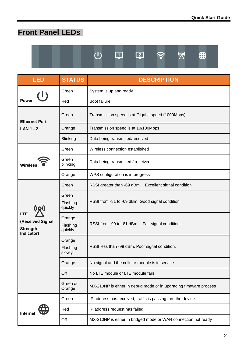# **Front Panel LEDs**



⊈

 $\widehat{\mathbb{R}}$ 

 $\mathbb{Z}^{\prime}$  $\bigoplus$ 

| <b>LED</b>                                                      | <b>STATUS</b>                 | <b>DESCRIPTION</b>                                                |  |  |
|-----------------------------------------------------------------|-------------------------------|-------------------------------------------------------------------|--|--|
| (1)                                                             | Green                         | System is up and ready                                            |  |  |
| Power                                                           | Red                           | Boot failure                                                      |  |  |
| <b>Ethernet Port</b>                                            | Green                         | Transmission speed is at Gigabit speed (1000Mbps)                 |  |  |
| <b>LAN 1 - 2</b>                                                | Orange                        | Transmission speed is at 10/100Mbps                               |  |  |
|                                                                 | <b>Blinking</b>               | Data being transmitted/received                                   |  |  |
|                                                                 | Green                         | Wireless connection established                                   |  |  |
| <b>Wireless</b>                                                 | Green<br>blinking             | Data being transmitted / received                                 |  |  |
|                                                                 | Orange                        | WPS configuration is in progress                                  |  |  |
|                                                                 | Green                         | RSSI greater than -69 dBm. Excellent signal condition             |  |  |
| ((Q))                                                           | Green<br>Flashing<br>quickly  | RSSI from -81 to -69 dBm. Good signal condition                   |  |  |
| <b>LTE</b><br>(Received Signal<br><b>Strength</b><br>Indicator) | Orange<br>Flashing<br>quickly | RSSI from -99 to -81 dBm. Fair signal condition.                  |  |  |
|                                                                 | Orange<br>Flashing<br>slowly  | RSSI less than -99 dBm. Poor signal condition.                    |  |  |
|                                                                 | Orange                        | No signal and the cellular module is in service                   |  |  |
|                                                                 | Off                           | No LTE module or LTE module fails                                 |  |  |
|                                                                 | Green &<br>Orange             | MX-210NP is either in debug mode or in upgrading firmware process |  |  |
|                                                                 | Green                         | IP address has received; traffic is passing thru the device.      |  |  |
| <b>Internet</b>                                                 | Red                           | IP address request has failed.                                    |  |  |
|                                                                 | Off                           | MX-210NP is either in bridged mode or WAN connection not ready.   |  |  |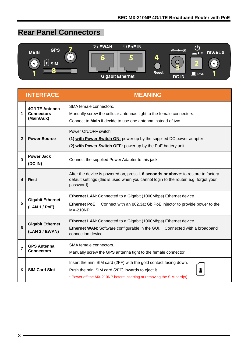# **Rear Panel Connectors**



|                | <b>INTERFACE</b>                                  | <b>MEANING</b>                                                                                                                                                                                 |  |  |
|----------------|---------------------------------------------------|------------------------------------------------------------------------------------------------------------------------------------------------------------------------------------------------|--|--|
| 1              | 4G/LTE Antenna<br><b>Connectors</b><br>(Main/Aux) | SMA female connectors.<br>Manually screw the cellular antennas tight to the female connectors.<br>Connect to Main if decide to use one antenna instead of two.                                 |  |  |
| 2              | <b>Power Source</b>                               | Power ON/OFF switch<br>(1) with Power Switch ON: power up by the supplied DC power adapter<br>(2) with Power Switch OFF: power up by the PoE battery unit                                      |  |  |
| $\overline{3}$ | <b>Power Jack</b><br>(DC IN)                      | Connect the supplied Power Adapter to this jack.                                                                                                                                               |  |  |
| 4              | Rest                                              | After the device is powered on, press it 6 seconds or above: to restore to factory<br>default settings (this is used when you cannot login to the router, e.g. forgot your<br>password)        |  |  |
| 5              | <b>Gigabit Ethernet</b><br>(LAN 1 / PoE)          | Ethernet LAN: Connected to a Gigabit (1000Mbps) Ethernet device<br><b>Ethernet PoE:</b> Connect with an 802.3at Gb PoE injector to provide power to the<br><b>MX-210NP</b>                     |  |  |
| 6              | <b>Gigabit Ethernet</b><br>(LAN 2 / EWAN)         | Ethernet LAN: Connected to a Gigabit (1000Mbps) Ethernet device<br>Ethernet WAN: Software configurable in the GUI. Connected with a broadband<br>connection device                             |  |  |
| $\overline{7}$ | <b>GPS Antenna</b><br><b>Connectors</b>           | SMA female connectors.<br>Manually screw the GPS antenna tight to the female connector.                                                                                                        |  |  |
| 8              | <b>SIM Card Slot</b>                              | Insert the mini SIM card (2FF) with the gold contact facing down.<br>Push the mini SIM card (2FF) inwards to eject it<br>* Power off the MX-210NP before inserting or removing the SIM card(s) |  |  |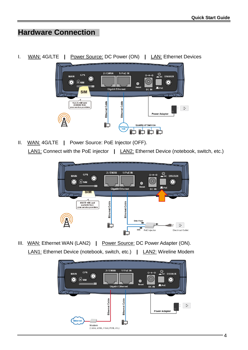# **Hardware Connection**

I. WAN: 4G/LTE **|** Power Source: DC Power (ON) **|** LAN: Ethernet Devices



II. WAN: 4G/LTE **|** Power Source: PoE Injector (OFF). LAN1: Connect with the PoE injector **|** LAN2: Ethernet Device (notebook, switch, etc.)



III. WAN: Ethernet WAN (LAN2) **|** Power Source: DC Power Adapter (ON). LAN1: Ethernet Device (notebook, switch, etc.) **|** LAN2: Wireline Modem

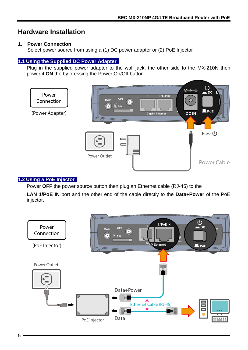### **Hardware Installation**

#### **1. Power Connection**

Select power source from using a (1) DC power adapter or (2) PoE Injector

#### **1.1 Using the Supplied DC Power Adapter**

Plug in the supplied power adapter to the wall jack, the other side to the MX-210N then power it **ON** the by pressing the Power On/Off button.



#### **1.2 Using a PoE Injector**

Power **OFF** the power source button then plug an Ethernet cable (RJ-45) to the

**LAN 1/PoE IN** port and the other end of the cable directly to the **Data+Power** of the PoE injector.

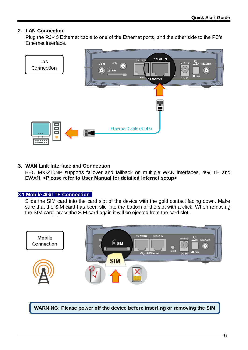#### **2. LAN Connection**

Plug the RJ-45 Ethernet cable to one of the Ethernet ports, and the other side to the PC's Ethernet interface.



#### **3. WAN Link Interface and Connection**

BEC MX-210NP supports failover and failback on multiple WAN interfaces, 4G/LTE and EWAN. **<Please refer to User Manual for detailed Internet setup>**

#### **3.1 Mobile 4G/LTE Connection**

**card.**

Slide the SIM card into the card slot of the device with the gold contact facing down. Make sure that the SIM card has been slid into the bottom of the slot with a click. When removing the SIM card, press the SIM card again it will be ejected from the card slot.



**WARNING: Please power off the device before inserting or removing the SIM**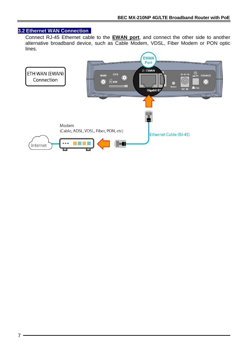#### **3.2 Ethernet WAN Connection**

Connect RJ-45 Ethernet cable to the **EWAN port**, and connect the other side to another alternative broadband device, such as Cable Modem, VDSL, Fiber Modem or PON optic lines.

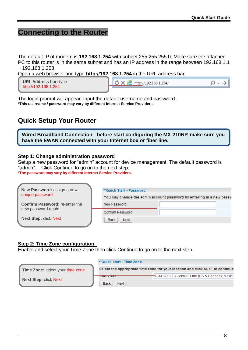### **Connecting to the Router**

The default IP of modem is **192.168.1.254** with subnet 255.255.255.0. Make sure the attached PC to this router is in the same subnet and has an IP address in the range between 192.168.1.1  $\sim$  192.168.1.253.

Open a web browser and type **http://192.168.1.254** in the URL address bar.

| <b>URL Address bar: type</b> | /192.168.1.254/<br>æ<br>http:/ |  |
|------------------------------|--------------------------------|--|
| http://192.168.1.254         |                                |  |

The login prompt will appear. Input the default username and password. **\*This username / password may vary by different Internet Service Providers.** 

### **Quick Setup Your Router**

**Wired Broadband Connection - before start configuring the MX-210NP, make sure you have the EWAN connected with your Internet box or fiber line.**

#### **Step 1: Change administration password**

Setup a new password for "admin" account for device management. The default password is "admin". Click Continue to go on to the next step.

**\*The password may vary by different Internet Service Providers.**

| New Password: assign a new,           | ▼Quick Start - Password                                              |  |  |  |
|---------------------------------------|----------------------------------------------------------------------|--|--|--|
| unique password                       | You may change the admin account password by entering in a new passw |  |  |  |
| <b>Confirm Password: re-enter the</b> | New Password                                                         |  |  |  |
| new password again                    | Confirm Password                                                     |  |  |  |
| <b>Next Step: click Next</b>          | <b>Next</b><br><b>Back</b>                                           |  |  |  |
|                                       |                                                                      |  |  |  |

#### **Step 2: Time Zone configuration**

Enable and select your Time Zone then click Continue to go on to the next step.

|                                         | ▼ Quick Start - Time Zone  |                                                                               |
|-----------------------------------------|----------------------------|-------------------------------------------------------------------------------|
| <b>Time Zone: select your time zone</b> |                            | Select the appropriate time zone for your location and click NEXT to continue |
| <b>Next Step: click Next</b>            | <u>Time zone</u>           | "(GMT-06:00) Central Time (US & Canada), Maxico                               |
|                                         | <b>Back</b><br><b>Next</b> |                                                                               |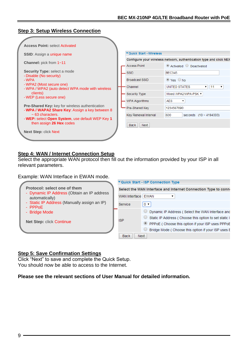#### **Step 3: Setup Wireless Connection**

| <b>Access Point: select Activated</b>                                                                     |                          |                                                                    |
|-----------------------------------------------------------------------------------------------------------|--------------------------|--------------------------------------------------------------------|
| <b>SSID:</b> Assign a unique name                                                                         | ▼ Quick Start - Wireless |                                                                    |
| <b>Channel:</b> pick from 1~11                                                                            |                          | Configure your wireless network, authentication type and click NEX |
|                                                                                                           | <b>Access Point</b>      | $\odot$ Activated $\odot$ Deactivated                              |
| <b>Security Type:</b> select a mode<br>- Disable (No security)                                            | SSID                     | <b>BEC345</b>                                                      |
| - WPA<br>- WPA2 (Most secure one)                                                                         | <b>Broadcast SSID</b>    | $\odot$ Yes $\odot$ No                                             |
| - WPA / WPA2 (auto detect WPA mode with wireless                                                          | Channel                  | UNITED STATES<br>11<br>$\bullet$                                   |
| clients)<br>- WEP (Less secure one)                                                                       | Security Type            | Mixed WPA2/WPA-PSK ▼                                               |
|                                                                                                           | <b>WPA Algorithms</b>    | <b>AFS</b><br>▼                                                    |
| <b>Pre-Shared Key:</b> key for wireless authentication<br>- WPA / WAPA2 Share Key: Assign a key between 8 | Pre-Shared Key           | 1234567890                                                         |
| $\sim$ 63 characters.<br>- WEP: select Open System, use default WEP Key 1                                 | Key Renewal Interval     | 600<br>seconds $(10 - 4194303)$                                    |
| then assign 26 Hex codes                                                                                  | Back<br><b>Next</b>      |                                                                    |
| <b>Next Step: click Next</b>                                                                              |                          |                                                                    |
|                                                                                                           |                          |                                                                    |

#### **Step 4: WAN / Internet Connection Setup**

Select the appropriate WAN protocol then fill out the information provided by your ISP in all relevant parameters.

#### Example: WAN Interface in EWAN mode.

|                                                              | ▼ Quick Start - ISP Connection Type                            |                                                       |  |  |
|--------------------------------------------------------------|----------------------------------------------------------------|-------------------------------------------------------|--|--|
| Protocol: select one of them                                 | Select the WAN Interface and Internet Connection Type to conne |                                                       |  |  |
| - Dynamic IP Address (Obtain an IP address<br>automatically) | WAN Interface EWAN                                             |                                                       |  |  |
| - Static IP Address (Manually assign an IP)<br>- $PPPoE$     | Service                                                        | $0 \times$                                            |  |  |
| - Bridge Mode                                                |                                                                | Dynamic IP Address (Select the WAN Interface and      |  |  |
|                                                              | <b>ISP</b>                                                     | Static IP Address (Choose this option to set static I |  |  |
| <b>Net Step: click Continue</b>                              |                                                                | PPPoE (Choose this option if your ISP uses PPPoE      |  |  |
|                                                              |                                                                | Bridge Mode (Choose this option if your ISP uses E    |  |  |
|                                                              | <b>Back</b><br><b>Next</b>                                     |                                                       |  |  |

#### **Step 5: Save Confirmation Settings**

Click "Next" to save and complete the Quick Setup. You should now be able to access to the Internet.

#### **Please see the relevant sections of User Manual for detailed information.**